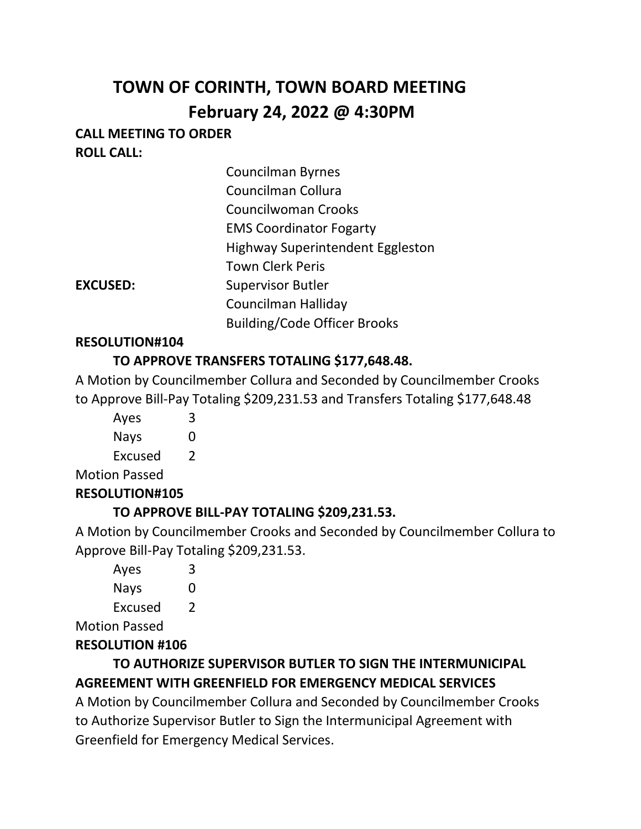# **TOWN OF CORINTH, TOWN BOARD MEETING February 24, 2022 @ 4:30PM**

# **CALL MEETING TO ORDER ROLL CALL:**

| <b>Councilman Byrnes</b>                |
|-----------------------------------------|
| Councilman Collura                      |
| Councilwoman Crooks                     |
| <b>EMS Coordinator Fogarty</b>          |
| <b>Highway Superintendent Eggleston</b> |
| <b>Town Clerk Peris</b>                 |
| <b>Supervisor Butler</b>                |
| Councilman Halliday                     |
| <b>Building/Code Officer Brooks</b>     |
|                                         |

#### **RESOLUTION#104**

**EXCUSED:** 

## **TO APPROVE TRANSFERS TOTALING \$177,648.48.**

A Motion by Councilmember Collura and Seconded by Councilmember Crooks to Approve Bill-Pay Totaling \$209,231.53 and Transfers Totaling \$177,648.48

Ayes 3 Nays 0

Excused 2

Motion Passed

## **RESOLUTION#105**

## **TO APPROVE BILL-PAY TOTALING \$209,231.53.**

A Motion by Councilmember Crooks and Seconded by Councilmember Collura to Approve Bill-Pay Totaling \$209,231.53.

|  | Ayes        | 3 |
|--|-------------|---|
|  | <b>Nays</b> | O |
|  | Excused     | 2 |
|  |             |   |

Motion Passed

# **RESOLUTION #106**

# **TO AUTHORIZE SUPERVISOR BUTLER TO SIGN THE INTERMUNICIPAL AGREEMENT WITH GREENFIELD FOR EMERGENCY MEDICAL SERVICES**

A Motion by Councilmember Collura and Seconded by Councilmember Crooks to Authorize Supervisor Butler to Sign the Intermunicipal Agreement with Greenfield for Emergency Medical Services.